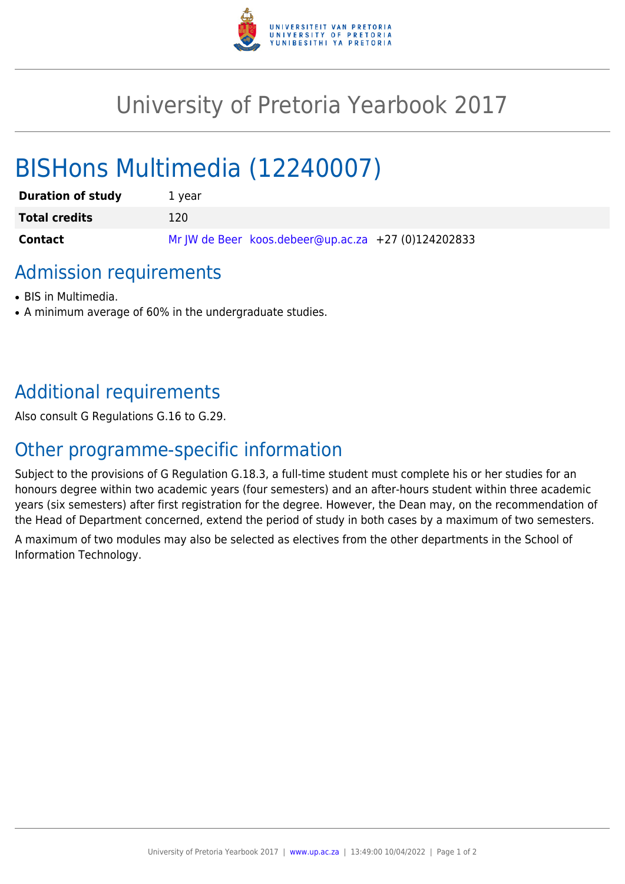

## University of Pretoria Yearbook 2017

# BISHons Multimedia (12240007)

| <b>Duration of study</b> | 1 vear                                              |
|--------------------------|-----------------------------------------------------|
| <b>Total credits</b>     | 120                                                 |
| <b>Contact</b>           | Mr JW de Beer koos.debeer@up.ac.za +27 (0)124202833 |

### Admission requirements

- BIS in Multimedia.
- A minimum average of 60% in the undergraduate studies.

## Additional requirements

Also consult G Regulations G.16 to G.29.

## Other programme-specific information

Subject to the provisions of G Regulation G.18.3, a full-time student must complete his or her studies for an honours degree within two academic years (four semesters) and an after-hours student within three academic years (six semesters) after first registration for the degree. However, the Dean may, on the recommendation of the Head of Department concerned, extend the period of study in both cases by a maximum of two semesters. A maximum of two modules may also be selected as electives from the other departments in the School of Information Technology.